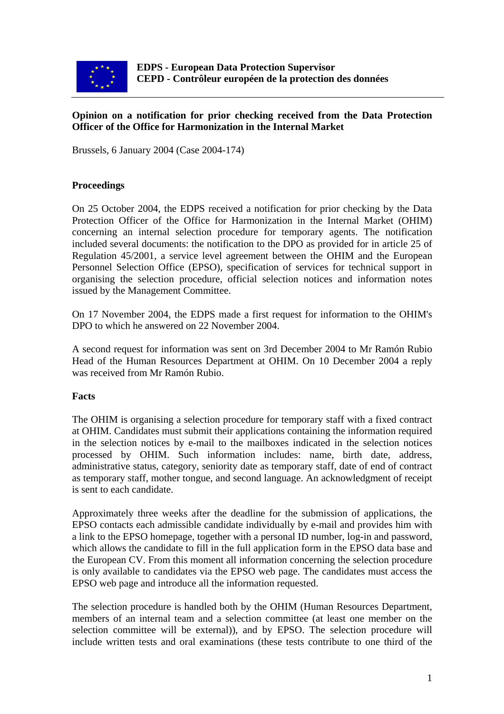

#### **Opinion on a notification for prior checking received from the Data Protection Officer of the Office for Harmonization in the Internal Market**

Brussels, 6 January 2004 (Case 2004-174)

## **Proceedings**

On 25 October 2004, the EDPS received a notification for prior checking by the Data Protection Officer of the Office for Harmonization in the Internal Market (OHIM) concerning an internal selection procedure for temporary agents. The notification included several documents: the notification to the DPO as provided for in article 25 of Regulation 45/2001, a service level agreement between the OHIM and the European Personnel Selection Office (EPSO), specification of services for technical support in organising the selection procedure, official selection notices and information notes issued by the Management Committee.

On 17 November 2004, the EDPS made a first request for information to the OHIM's DPO to which he answered on 22 November 2004.

A second request for information was sent on 3rd December 2004 to Mr Ramón Rubio Head of the Human Resources Department at OHIM. On 10 December 2004 a reply was received from Mr Ramón Rubio.

## **Facts**

The OHIM is organising a selection procedure for temporary staff with a fixed contract at OHIM. Candidates must submit their applications containing the information required in the selection notices by e-mail to the mailboxes indicated in the selection notices processed by OHIM. Such information includes: name, birth date, address, administrative status, category, seniority date as temporary staff, date of end of contract as temporary staff, mother tongue, and second language. An acknowledgment of receipt is sent to each candidate.

Approximately three weeks after the deadline for the submission of applications, the EPSO contacts each admissible candidate individually by e-mail and provides him with a link to the EPSO homepage, together with a personal ID number, log-in and password, which allows the candidate to fill in the full application form in the EPSO data base and the European CV. From this moment all information concerning the selection procedure is only available to candidates via the EPSO web page. The candidates must access the EPSO web page and introduce all the information requested.

The selection procedure is handled both by the OHIM (Human Resources Department, members of an internal team and a selection committee (at least one member on the selection committee will be external)), and by EPSO. The selection procedure will include written tests and oral examinations (these tests contribute to one third of the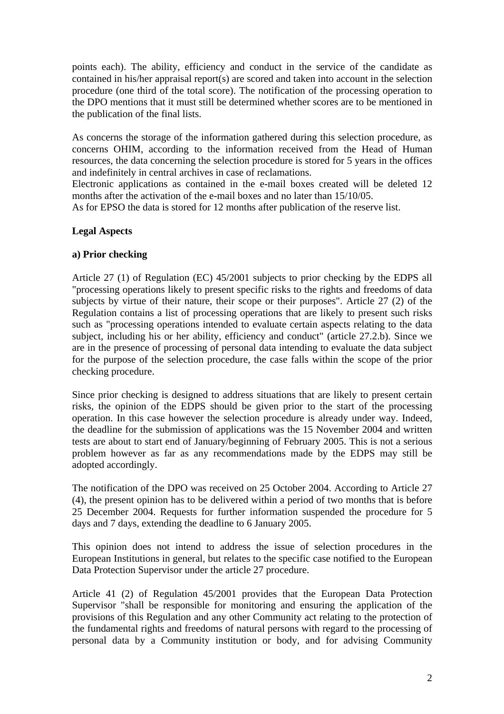points each). The ability, efficiency and conduct in the service of the candidate as contained in his/her appraisal report(s) are scored and taken into account in the selection procedure (one third of the total score). The notification of the processing operation to the DPO mentions that it must still be determined whether scores are to be mentioned in the publication of the final lists.

As concerns the storage of the information gathered during this selection procedure, as concerns OHIM, according to the information received from the Head of Human resources, the data concerning the selection procedure is stored for 5 years in the offices and indefinitely in central archives in case of reclamations.

Electronic applications as contained in the e-mail boxes created will be deleted 12 months after the activation of the e-mail boxes and no later than 15/10/05.

As for EPSO the data is stored for 12 months after publication of the reserve list.

## **Legal Aspects**

## **a) Prior checking**

Article 27 (1) of Regulation (EC) 45/2001 subjects to prior checking by the EDPS all "processing operations likely to present specific risks to the rights and freedoms of data subjects by virtue of their nature, their scope or their purposes". Article 27 (2) of the Regulation contains a list of processing operations that are likely to present such risks such as "processing operations intended to evaluate certain aspects relating to the data subject, including his or her ability, efficiency and conduct" (article 27.2.b). Since we are in the presence of processing of personal data intending to evaluate the data subject for the purpose of the selection procedure, the case falls within the scope of the prior checking procedure.

Since prior checking is designed to address situations that are likely to present certain risks, the opinion of the EDPS should be given prior to the start of the processing operation. In this case however the selection procedure is already under way. Indeed, the deadline for the submission of applications was the 15 November 2004 and written tests are about to start end of January/beginning of February 2005. This is not a serious problem however as far as any recommendations made by the EDPS may still be adopted accordingly.

The notification of the DPO was received on 25 October 2004. According to Article 27 (4), the present opinion has to be delivered within a period of two months that is before 25 December 2004. Requests for further information suspended the procedure for 5 days and 7 days, extending the deadline to 6 January 2005.

This opinion does not intend to address the issue of selection procedures in the European Institutions in general, but relates to the specific case notified to the European Data Protection Supervisor under the article 27 procedure.

Article 41 (2) of Regulation 45/2001 provides that the European Data Protection Supervisor "shall be responsible for monitoring and ensuring the application of the provisions of this Regulation and any other Community act relating to the protection of the fundamental rights and freedoms of natural persons with regard to the processing of personal data by a Community institution or body, and for advising Community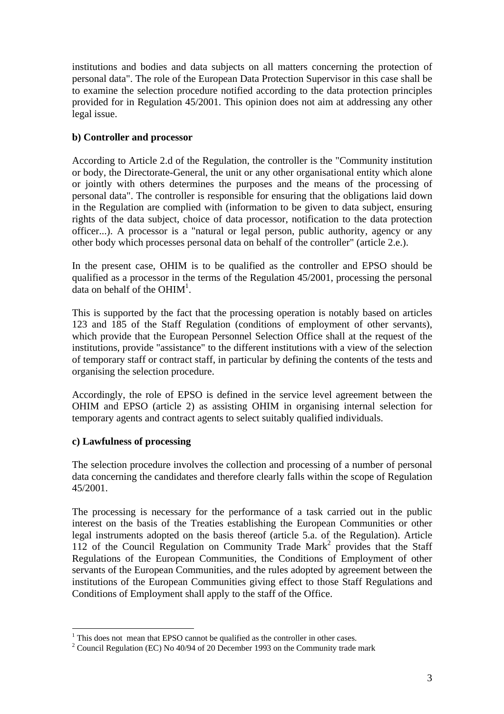institutions and bodies and data subjects on all matters concerning the protection of personal data". The role of the European Data Protection Supervisor in this case shall be to examine the selection procedure notified according to the data protection principles provided for in Regulation 45/2001. This opinion does not aim at addressing any other legal issue.

# **b) Controller and processor**

According to Article 2.d of the Regulation, the controller is the "Community institution or body, the Directorate-General, the unit or any other organisational entity which alone or jointly with others determines the purposes and the means of the processing of personal data". The controller is responsible for ensuring that the obligations laid down in the Regulation are complied with (information to be given to data subject, ensuring rights of the data subject, choice of data processor, notification to the data protection officer...). A processor is a "natural or legal person, public authority, agency or any other body which processes personal data on behalf of the controller" (article 2.e.).

In the present case, OHIM is to be qualified as the controller and EPSO should be qualified as a processor in the terms of the Regulation 45/2001, processing the personal data on behalf of the  $OHIM<sup>1</sup>$ .

This is supported by the fact that the processing operation is notably based on articles 123 and 185 of the Staff Regulation (conditions of employment of other servants), which provide that the European Personnel Selection Office shall at the request of the institutions, provide "assistance" to the different institutions with a view of the selection of temporary staff or contract staff, in particular by defining the contents of the tests and organising the selection procedure.

Accordingly, the role of EPSO is defined in the service level agreement between the OHIM and EPSO (article 2) as assisting OHIM in organising internal selection for temporary agents and contract agents to select suitably qualified individuals.

## **c) Lawfulness of processing**

The selection procedure involves the collection and processing of a number of personal data concerning the candidates and therefore clearly falls within the scope of Regulation 45/2001.

The processing is necessary for the performance of a task carried out in the public interest on the basis of the Treaties establishing the European Communities or other legal instruments adopted on the basis thereof (article 5.a. of the Regulation). Article 112 of the Council Regulation on Community Trade Mark<sup>2</sup> provides that the Staff Regulations of the European Communities, the Conditions of Employment of other servants of the European Communities, and the rules adopted by agreement between the institutions of the European Communities giving effect to those Staff Regulations and Conditions of Employment shall apply to the staff of the Office.

<span id="page-2-0"></span> $\overline{a}$ <sup>1</sup> This does not mean that EPSO cannot be qualified as the controller in other cases.<br><sup>2</sup> Council Regulation (EC) No 40/94 of 20 December 1993 on the Community trade mark

<span id="page-2-1"></span>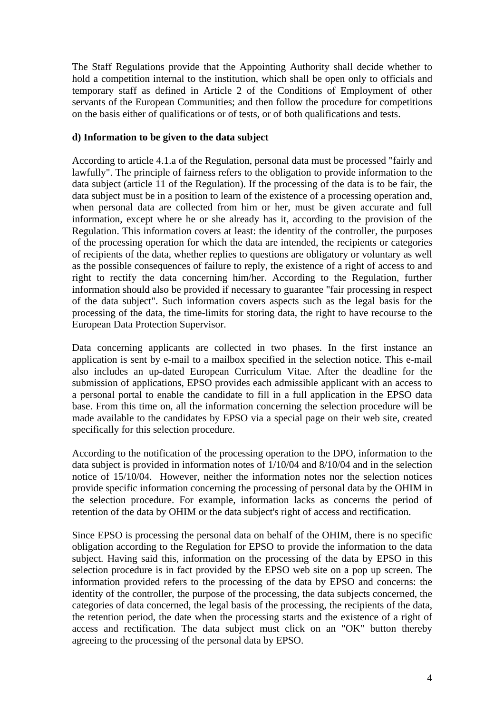The Staff Regulations provide that the Appointing Authority shall decide whether to hold a competition internal to the institution, which shall be open only to officials and temporary staff as defined in Article 2 of the Conditions of Employment of other servants of the European Communities; and then follow the procedure for competitions on the basis either of qualifications or of tests, or of both qualifications and tests.

### **d) Information to be given to the data subject**

According to article 4.1.a of the Regulation, personal data must be processed "fairly and lawfully". The principle of fairness refers to the obligation to provide information to the data subject (article 11 of the Regulation). If the processing of the data is to be fair, the data subject must be in a position to learn of the existence of a processing operation and, when personal data are collected from him or her, must be given accurate and full information, except where he or she already has it, according to the provision of the Regulation. This information covers at least: the identity of the controller, the purposes of the processing operation for which the data are intended, the recipients or categories of recipients of the data, whether replies to questions are obligatory or voluntary as well as the possible consequences of failure to reply, the existence of a right of access to and right to rectify the data concerning him/her. According to the Regulation, further information should also be provided if necessary to guarantee "fair processing in respect of the data subject". Such information covers aspects such as the legal basis for the processing of the data, the time-limits for storing data, the right to have recourse to the European Data Protection Supervisor.

Data concerning applicants are collected in two phases. In the first instance an application is sent by e-mail to a mailbox specified in the selection notice. This e-mail also includes an up-dated European Curriculum Vitae. After the deadline for the submission of applications, EPSO provides each admissible applicant with an access to a personal portal to enable the candidate to fill in a full application in the EPSO data base. From this time on, all the information concerning the selection procedure will be made available to the candidates by EPSO via a special page on their web site, created specifically for this selection procedure.

According to the notification of the processing operation to the DPO, information to the data subject is provided in information notes of  $1/10/04$  and  $8/10/04$  and in the selection notice of 15/10/04. However, neither the information notes nor the selection notices provide specific information concerning the processing of personal data by the OHIM in the selection procedure. For example, information lacks as concerns the period of retention of the data by OHIM or the data subject's right of access and rectification.

Since EPSO is processing the personal data on behalf of the OHIM, there is no specific obligation according to the Regulation for EPSO to provide the information to the data subject. Having said this, information on the processing of the data by EPSO in this selection procedure is in fact provided by the EPSO web site on a pop up screen. The information provided refers to the processing of the data by EPSO and concerns: the identity of the controller, the purpose of the processing, the data subjects concerned, the categories of data concerned, the legal basis of the processing, the recipients of the data, the retention period, the date when the processing starts and the existence of a right of access and rectification. The data subject must click on an "OK" button thereby agreeing to the processing of the personal data by EPSO.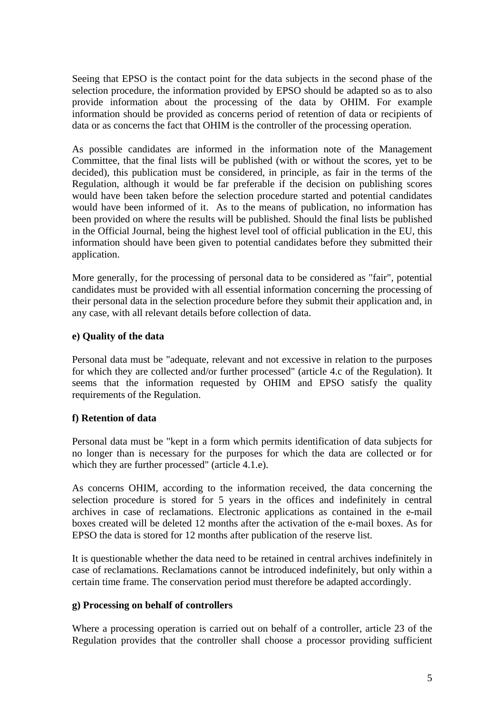Seeing that EPSO is the contact point for the data subjects in the second phase of the selection procedure, the information provided by EPSO should be adapted so as to also provide information about the processing of the data by OHIM. For example information should be provided as concerns period of retention of data or recipients of data or as concerns the fact that OHIM is the controller of the processing operation.

As possible candidates are informed in the information note of the Management Committee, that the final lists will be published (with or without the scores, yet to be decided), this publication must be considered, in principle, as fair in the terms of the Regulation, although it would be far preferable if the decision on publishing scores would have been taken before the selection procedure started and potential candidates would have been informed of it. As to the means of publication, no information has been provided on where the results will be published. Should the final lists be published in the Official Journal, being the highest level tool of official publication in the EU, this information should have been given to potential candidates before they submitted their application.

More generally, for the processing of personal data to be considered as "fair", potential candidates must be provided with all essential information concerning the processing of their personal data in the selection procedure before they submit their application and, in any case, with all relevant details before collection of data.

#### **e) Quality of the data**

Personal data must be "adequate, relevant and not excessive in relation to the purposes for which they are collected and/or further processed" (article 4.c of the Regulation). It seems that the information requested by OHIM and EPSO satisfy the quality requirements of the Regulation.

## **f) Retention of data**

Personal data must be "kept in a form which permits identification of data subjects for no longer than is necessary for the purposes for which the data are collected or for which they are further processed" (article 4.1.e).

As concerns OHIM, according to the information received, the data concerning the selection procedure is stored for 5 years in the offices and indefinitely in central archives in case of reclamations. Electronic applications as contained in the e-mail boxes created will be deleted 12 months after the activation of the e-mail boxes. As for EPSO the data is stored for 12 months after publication of the reserve list.

It is questionable whether the data need to be retained in central archives indefinitely in case of reclamations. Reclamations cannot be introduced indefinitely, but only within a certain time frame. The conservation period must therefore be adapted accordingly.

## **g) Processing on behalf of controllers**

Where a processing operation is carried out on behalf of a controller, article 23 of the Regulation provides that the controller shall choose a processor providing sufficient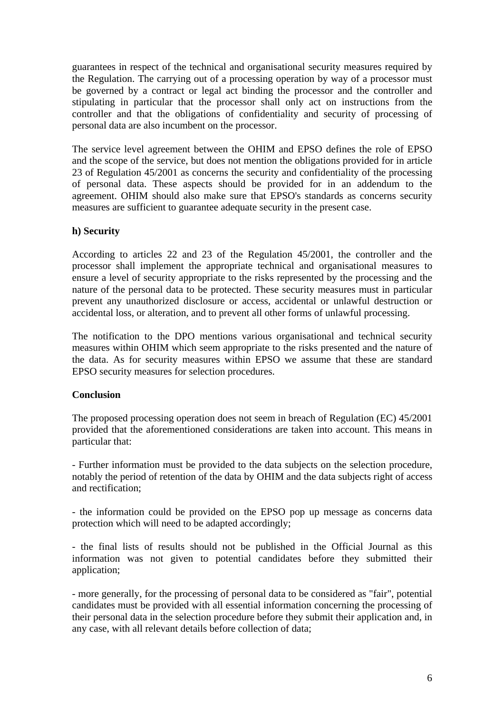guarantees in respect of the technical and organisational security measures required by the Regulation. The carrying out of a processing operation by way of a processor must be governed by a contract or legal act binding the processor and the controller and stipulating in particular that the processor shall only act on instructions from the controller and that the obligations of confidentiality and security of processing of personal data are also incumbent on the processor.

The service level agreement between the OHIM and EPSO defines the role of EPSO and the scope of the service, but does not mention the obligations provided for in article 23 of Regulation 45/2001 as concerns the security and confidentiality of the processing of personal data. These aspects should be provided for in an addendum to the agreement. OHIM should also make sure that EPSO's standards as concerns security measures are sufficient to guarantee adequate security in the present case.

#### **h) Security**

According to articles 22 and 23 of the Regulation 45/2001, the controller and the processor shall implement the appropriate technical and organisational measures to ensure a level of security appropriate to the risks represented by the processing and the nature of the personal data to be protected. These security measures must in particular prevent any unauthorized disclosure or access, accidental or unlawful destruction or accidental loss, or alteration, and to prevent all other forms of unlawful processing.

The notification to the DPO mentions various organisational and technical security measures within OHIM which seem appropriate to the risks presented and the nature of the data. As for security measures within EPSO we assume that these are standard EPSO security measures for selection procedures.

#### **Conclusion**

The proposed processing operation does not seem in breach of Regulation (EC) 45/2001 provided that the aforementioned considerations are taken into account. This means in particular that:

- Further information must be provided to the data subjects on the selection procedure, notably the period of retention of the data by OHIM and the data subjects right of access and rectification;

- the information could be provided on the EPSO pop up message as concerns data protection which will need to be adapted accordingly;

- the final lists of results should not be published in the Official Journal as this information was not given to potential candidates before they submitted their application;

- more generally, for the processing of personal data to be considered as "fair", potential candidates must be provided with all essential information concerning the processing of their personal data in the selection procedure before they submit their application and, in any case, with all relevant details before collection of data;